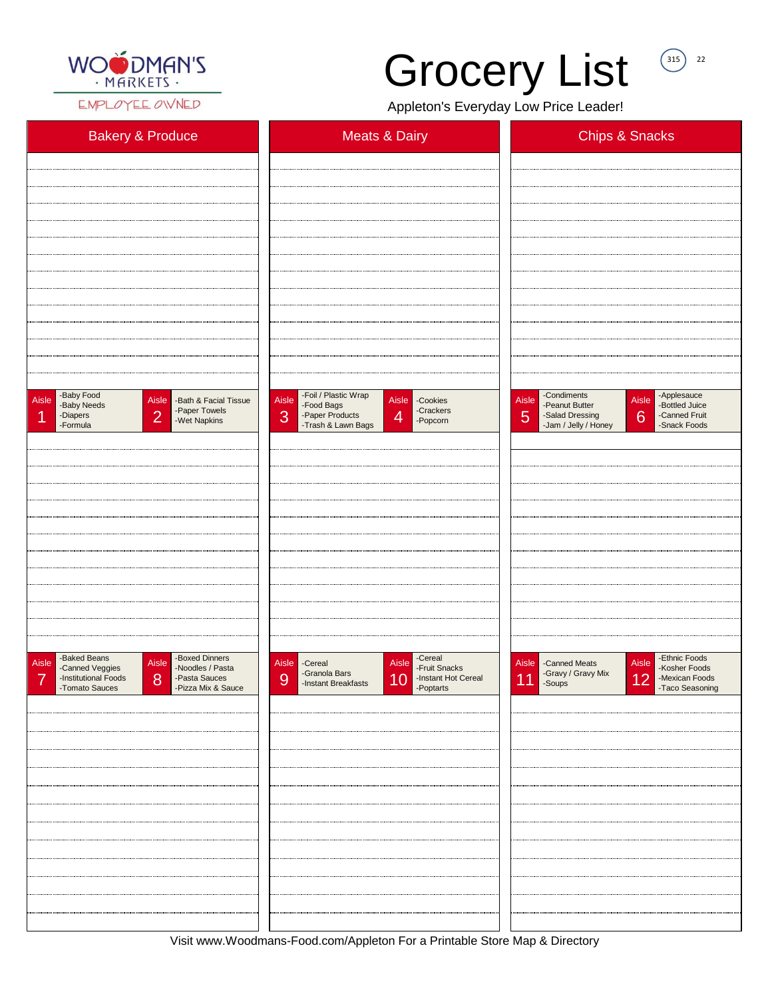

EMPLOYEE OWNED

## Grocery List

 $\begin{pmatrix} 315 \end{pmatrix}$  22

Appleton's Everyday Low Price Leader!

| <b>Bakery &amp; Produce</b>                                                                                                                                                                                    | Meats & Dairy                                                                                                                                | <b>Chips &amp; Snacks</b>                                                                                                                                                          |  |
|----------------------------------------------------------------------------------------------------------------------------------------------------------------------------------------------------------------|----------------------------------------------------------------------------------------------------------------------------------------------|------------------------------------------------------------------------------------------------------------------------------------------------------------------------------------|--|
|                                                                                                                                                                                                                |                                                                                                                                              |                                                                                                                                                                                    |  |
|                                                                                                                                                                                                                |                                                                                                                                              |                                                                                                                                                                                    |  |
|                                                                                                                                                                                                                |                                                                                                                                              |                                                                                                                                                                                    |  |
|                                                                                                                                                                                                                |                                                                                                                                              |                                                                                                                                                                                    |  |
|                                                                                                                                                                                                                |                                                                                                                                              |                                                                                                                                                                                    |  |
|                                                                                                                                                                                                                |                                                                                                                                              |                                                                                                                                                                                    |  |
|                                                                                                                                                                                                                |                                                                                                                                              |                                                                                                                                                                                    |  |
|                                                                                                                                                                                                                |                                                                                                                                              |                                                                                                                                                                                    |  |
|                                                                                                                                                                                                                |                                                                                                                                              |                                                                                                                                                                                    |  |
|                                                                                                                                                                                                                |                                                                                                                                              |                                                                                                                                                                                    |  |
|                                                                                                                                                                                                                |                                                                                                                                              |                                                                                                                                                                                    |  |
|                                                                                                                                                                                                                |                                                                                                                                              |                                                                                                                                                                                    |  |
|                                                                                                                                                                                                                |                                                                                                                                              |                                                                                                                                                                                    |  |
| -Baby Food                                                                                                                                                                                                     | -Foil / Plastic Wrap                                                                                                                         | -Condiments                                                                                                                                                                        |  |
| Aisle<br>-Bath & Facial Tissue<br>Aisle<br>-Baby Needs<br>-Paper Towels<br>$\overline{2}$<br>-Diapers<br>1<br>-Wet Napkins<br>-Formula                                                                         | Aisle<br>-Cookies<br>Aisle<br>- Food Bags<br>- Paper Products<br>- Trash & Lawn Bags<br>-Crackers<br>$\overline{4}$<br>3<br>-Popcorn         | -Applesauce<br>-Bottled Juice<br>Aisle<br>Aisle<br>-Peanut Butter<br>$6\phantom{1}6$<br>$\overline{5}$<br>-Salad Dressing<br>-Canned Fruit<br>-Snack Foods<br>-Jam / Jelly / Honey |  |
|                                                                                                                                                                                                                |                                                                                                                                              |                                                                                                                                                                                    |  |
|                                                                                                                                                                                                                |                                                                                                                                              |                                                                                                                                                                                    |  |
|                                                                                                                                                                                                                |                                                                                                                                              |                                                                                                                                                                                    |  |
|                                                                                                                                                                                                                |                                                                                                                                              |                                                                                                                                                                                    |  |
|                                                                                                                                                                                                                |                                                                                                                                              |                                                                                                                                                                                    |  |
|                                                                                                                                                                                                                |                                                                                                                                              |                                                                                                                                                                                    |  |
|                                                                                                                                                                                                                |                                                                                                                                              |                                                                                                                                                                                    |  |
|                                                                                                                                                                                                                |                                                                                                                                              |                                                                                                                                                                                    |  |
|                                                                                                                                                                                                                |                                                                                                                                              |                                                                                                                                                                                    |  |
|                                                                                                                                                                                                                |                                                                                                                                              |                                                                                                                                                                                    |  |
|                                                                                                                                                                                                                |                                                                                                                                              |                                                                                                                                                                                    |  |
|                                                                                                                                                                                                                |                                                                                                                                              |                                                                                                                                                                                    |  |
| -Baked Beans<br>-Boxed Dinners<br>Aisle<br>Aisle<br>-Canned Veggies<br>-Noodles / Pasta<br>$\boldsymbol{8}$<br>$\overline{7}$<br>-Institutional Foods<br>-Pasta Sauces<br>-Tomato Sauces<br>-Pizza Mix & Sauce | -Cereal<br>-Cereal<br>Aisle<br>Aisle<br>-Fruit Snacks<br>-Granola Bars<br>9<br>10<br>-Instant Hot Cereal<br>-Instant Breakfasts<br>-Poptarts | -Ethnic Foods<br>-Canned Meats<br>Aisle<br>Aisle<br>-Kosher Foods<br>-Gravy / Gravy Mix<br>11<br>12<br>-Mexican Foods<br>-Soups<br>-Taco Seasoning                                 |  |
|                                                                                                                                                                                                                |                                                                                                                                              |                                                                                                                                                                                    |  |
|                                                                                                                                                                                                                |                                                                                                                                              |                                                                                                                                                                                    |  |
|                                                                                                                                                                                                                |                                                                                                                                              |                                                                                                                                                                                    |  |
|                                                                                                                                                                                                                |                                                                                                                                              |                                                                                                                                                                                    |  |
|                                                                                                                                                                                                                |                                                                                                                                              |                                                                                                                                                                                    |  |
|                                                                                                                                                                                                                |                                                                                                                                              |                                                                                                                                                                                    |  |
|                                                                                                                                                                                                                |                                                                                                                                              |                                                                                                                                                                                    |  |
|                                                                                                                                                                                                                |                                                                                                                                              |                                                                                                                                                                                    |  |
|                                                                                                                                                                                                                |                                                                                                                                              |                                                                                                                                                                                    |  |
|                                                                                                                                                                                                                |                                                                                                                                              |                                                                                                                                                                                    |  |
|                                                                                                                                                                                                                |                                                                                                                                              |                                                                                                                                                                                    |  |
|                                                                                                                                                                                                                |                                                                                                                                              |                                                                                                                                                                                    |  |
|                                                                                                                                                                                                                |                                                                                                                                              |                                                                                                                                                                                    |  |

Visit www.Woodmans-Food.com/Appleton For a Printable Store Map & Directory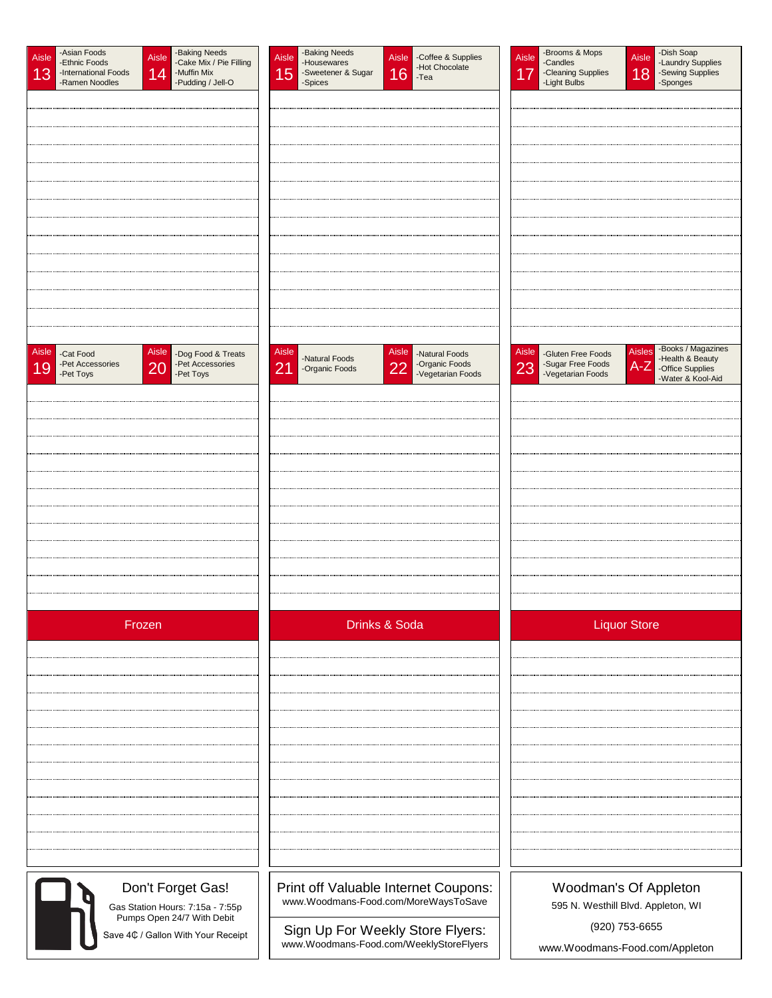| -Asian Foods                                                                          | -Baking Needs                                                                       | -Baking Needs                                                                                                                   |                                                                              | -Brooms & Mops                                                     | -Dish Soap                                                         |
|---------------------------------------------------------------------------------------|-------------------------------------------------------------------------------------|---------------------------------------------------------------------------------------------------------------------------------|------------------------------------------------------------------------------|--------------------------------------------------------------------|--------------------------------------------------------------------|
| Aisle<br>Aisle<br>-Ethnic Foods<br>13<br>-International Foods<br>14<br>-Ramen Noodles | -Cake Mix / Pie Filling<br>-Muffin Mix<br>-Pudding / Jell-O                         | Aisle<br>-Housewares<br>15<br>-Sweetener & Sugar                                                                                | -Coffee & Supplies<br>Aisle<br>-Hot Chocolate<br>16<br>-Tea                  | Aisle<br>-Candles<br>17<br>-Cleaning Supplies<br>-Light Bulbs      | Aisle<br>-Laundry Supplies<br>18<br>-Sewing Supplies<br>-Sponges   |
|                                                                                       |                                                                                     | -Spices                                                                                                                         |                                                                              |                                                                    |                                                                    |
|                                                                                       |                                                                                     |                                                                                                                                 |                                                                              |                                                                    |                                                                    |
|                                                                                       |                                                                                     |                                                                                                                                 |                                                                              |                                                                    |                                                                    |
|                                                                                       |                                                                                     |                                                                                                                                 |                                                                              |                                                                    |                                                                    |
|                                                                                       |                                                                                     |                                                                                                                                 |                                                                              |                                                                    |                                                                    |
|                                                                                       |                                                                                     |                                                                                                                                 |                                                                              |                                                                    |                                                                    |
|                                                                                       |                                                                                     |                                                                                                                                 |                                                                              |                                                                    |                                                                    |
|                                                                                       |                                                                                     |                                                                                                                                 |                                                                              |                                                                    |                                                                    |
|                                                                                       |                                                                                     |                                                                                                                                 |                                                                              |                                                                    |                                                                    |
|                                                                                       |                                                                                     |                                                                                                                                 |                                                                              |                                                                    |                                                                    |
| Aisle<br>Aisle                                                                        |                                                                                     | Aisle                                                                                                                           | <b>Aisle</b>                                                                 | Aisle                                                              | -Books / Magazines<br><b>Aisles</b>                                |
| -Cat Food<br>-Pet Accessories<br>20<br>19<br>-Pet Toys                                | -Dog Food & Treats<br>-Pet Accessories<br>-Pet Toys                                 | -Natural Foods<br>21<br>-Organic Foods                                                                                          | -Natural Foods<br>-Organic Foods<br>22<br>-Vegetarian Foods                  | -Gluten Free Foods<br>-Sugar Free Foods<br>23<br>-Vegetarian Foods | -Health & Beauty<br>$A-Z$<br>-Office Supplies<br>-Water & Kool-Aid |
|                                                                                       |                                                                                     |                                                                                                                                 |                                                                              |                                                                    |                                                                    |
|                                                                                       |                                                                                     |                                                                                                                                 |                                                                              |                                                                    |                                                                    |
|                                                                                       |                                                                                     |                                                                                                                                 |                                                                              |                                                                    |                                                                    |
|                                                                                       |                                                                                     |                                                                                                                                 |                                                                              |                                                                    |                                                                    |
|                                                                                       |                                                                                     |                                                                                                                                 |                                                                              |                                                                    |                                                                    |
|                                                                                       |                                                                                     |                                                                                                                                 |                                                                              |                                                                    |                                                                    |
|                                                                                       |                                                                                     |                                                                                                                                 |                                                                              |                                                                    |                                                                    |
|                                                                                       |                                                                                     |                                                                                                                                 |                                                                              |                                                                    |                                                                    |
|                                                                                       |                                                                                     |                                                                                                                                 |                                                                              |                                                                    |                                                                    |
| Frozen                                                                                |                                                                                     | Drinks & Soda                                                                                                                   |                                                                              | <b>Liquor Store</b>                                                |                                                                    |
|                                                                                       |                                                                                     |                                                                                                                                 |                                                                              |                                                                    |                                                                    |
|                                                                                       |                                                                                     |                                                                                                                                 |                                                                              |                                                                    |                                                                    |
|                                                                                       |                                                                                     |                                                                                                                                 |                                                                              |                                                                    |                                                                    |
|                                                                                       |                                                                                     |                                                                                                                                 |                                                                              |                                                                    |                                                                    |
|                                                                                       |                                                                                     |                                                                                                                                 |                                                                              |                                                                    |                                                                    |
|                                                                                       |                                                                                     |                                                                                                                                 |                                                                              |                                                                    |                                                                    |
|                                                                                       |                                                                                     |                                                                                                                                 |                                                                              |                                                                    |                                                                    |
|                                                                                       |                                                                                     |                                                                                                                                 |                                                                              |                                                                    |                                                                    |
|                                                                                       |                                                                                     |                                                                                                                                 |                                                                              |                                                                    |                                                                    |
|                                                                                       |                                                                                     |                                                                                                                                 |                                                                              |                                                                    |                                                                    |
|                                                                                       | Don't Forget Gas!<br>Gas Station Hours: 7:15a - 7:55p<br>Pumps Open 24/7 With Debit |                                                                                                                                 | Print off Valuable Internet Coupons:<br>www.Woodmans-Food.com/MoreWaysToSave | Woodman's Of Appleton<br>595 N. Westhill Blvd. Appleton, WI        |                                                                    |
|                                                                                       | Save 4¢ / Gallon With Your Receipt                                                  | (920) 753-6655<br>Sign Up For Weekly Store Flyers:<br>www.Woodmans-Food.com/WeeklyStoreFlyers<br>www.Woodmans-Food.com/Appleton |                                                                              |                                                                    |                                                                    |